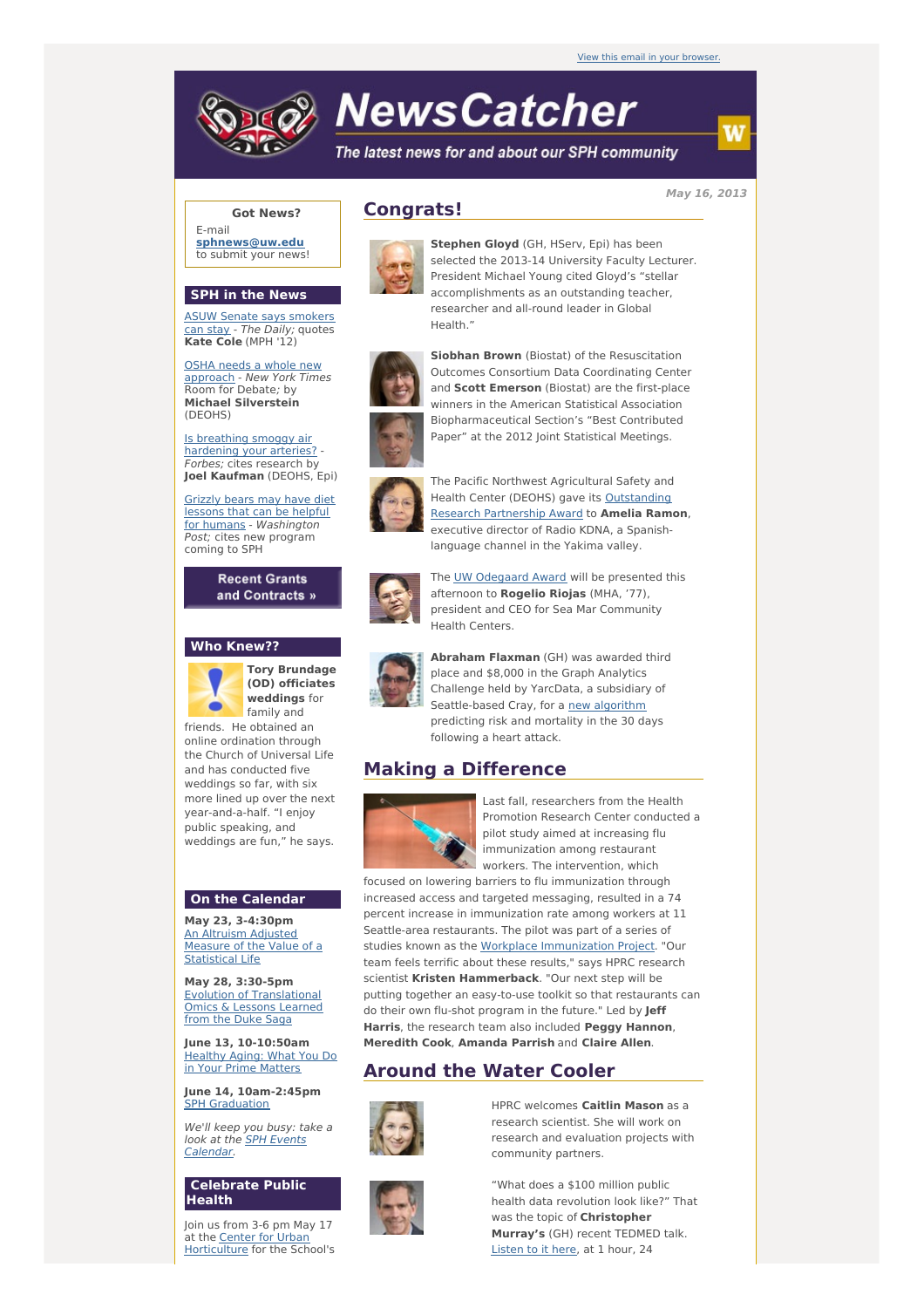# **NewsCatcher**

The latest news for and about our SPH community

**May 16, 2013**

#### **Got News?**

E-mail **[sphnews@uw.edu](mailto:sphnews@uw.edu)** to submit your news!

#### **SPH in the News**

ASUW Senate says [smokers](http://engage.washington.edu/site/R?i=dD-22WhCIb4fgAcEU-H1zQ) can stay - The Daily; quotes **Kate Cole** (MPH '12)

OSHA needs a whole new [approach](http://engage.washington.edu/site/R?i=TXRSu_9dVlV4oD9QecwTQA) - New York Times Room for Debate; by **Michael Silverstein** (DEOHS)

Is breathing smoggy air [hardening](http://engage.washington.edu/site/R?i=AjAxgf87rpo1P7BGkxzBMQ) your arteries? - Forbes; cites research by **Joel Kaufman** (DEOHS, Epi)

Grizzly bears may have diet lessons that can be helpful for humans - [Washington](http://engage.washington.edu/site/R?i=jsFO4tWrW42j_ZFEXc-Mmw) Post; cites new program coming to SPH

> **Recent Grants** and Contracts »

### **Who Knew??**



**Tory Brundage (OD) officiates weddings** for family and friends. He obtained an

online ordination through the Church of Universal Life and has conducted five weddings so far, with six more lined up over the next year-and-a-half. "I enjoy public speaking, and weddings are fun," he says.

## **On the Calendar**

**May 23, 3-4:30pm** An Altruism Adjusted Measure of the Value of a **[Statistical](http://engage.washington.edu/site/R?i=MOyoq5hOtbz18MC2VU7WNw) Life** 

**May 28, 3:30-5pm** Evolution of [Translational](http://engage.washington.edu/site/R?i=AAEvasFEF3D5CDZaFBpH1A) Omics & Lessons Learned from the Duke Saga

**June 13, 10-10:50am** [Healthy](http://engage.washington.edu/site/R?i=Q_Ugmgr-5lfQICAO8Ur6nA) Aging: What You Do in Your Prime Matters

**June 14, 10am-2:45pm** SPH [Graduation](http://engage.washington.edu/site/R?i=dTFjZWxkjoOUpbMu_9O6bQ)

We'll keep you busy: take a look at the **SPH Events** [Calendar.](http://engage.washington.edu/site/R?i=g0qxVGCJaWF6BkrxWEo9ug)

#### **Celebrate Public Health**

Join us from 3-6 pm May 17 at the **Center for Urban** [Horticulture](http://engage.washington.edu/site/R?i=ci_dRxJiIeF6f4J0aZ9wMQ) for the School's

## **Congrats!**



**Stephen Gloyd** (GH, HServ, Epi) has been selected the 2013-14 University Faculty Lecturer. President Michael Young cited Gloyd's "stellar accomplishments as an outstanding teacher, researcher and all-round leader in Global Health."



**Siobhan Brown** (Biostat) of the Resuscitation Outcomes Consortium Data Coordinating Center and **Scott Emerson** (Biostat) are the first-place winners in the American Statistical Association Biopharmaceutical Section's "Best Contributed Paper" at the 2012 Joint Statistical Meetings.



The Pacific Northwest Agricultural Safety and Health Center (DEOHS) gave its [Outstanding](http://engage.washington.edu/site/R?i=PBvi7SX2yDYBeD3hCH3ATQ) Research Partnership Award to **Amelia Ramon**, executive director of Radio KDNA, a Spanishlanguage channel in the Yakima valley.



The UW [Odegaard](http://engage.washington.edu/site/R?i=0S0JToJi2gDt-4M1p1n28A) Award will be presented this afternoon to **Rogelio Riojas** (MHA, '77), president and CEO for Sea Mar Community Health Centers.



**Abraham Flaxman** (GH) was awarded third place and \$8,000 in the Graph Analytics Challenge held by YarcData, a subsidiary of Seattle-based Cray, for a new [algorithm](http://engage.washington.edu/site/R?i=THnbBs0UMJ5LYKbu3Rsbcw) predicting risk and mortality in the 30 days following a heart attack.

# **Making a Difference**



Last fall, researchers from the Health Promotion Research Center conducted a pilot study aimed at increasing flu immunization among restaurant workers. The intervention, which

focused on lowering barriers to flu immunization through increased access and targeted messaging, resulted in a 74 percent increase in immunization rate among workers at 11 Seattle-area restaurants. The pilot was part of a series of studies known as the Workplace [Immunization](http://engage.washington.edu/site/R?i=gR20jjIE25GQt97YY_4HPQ) Project. "Our team feels terrific about these results," says HPRC research scientist **Kristen Hammerback**. "Our next step will be putting together an easy-to-use toolkit so that restaurants can do their own flu-shot program in the future." Led by **Jeff Harris**, the research team also included **Peggy Hannon**, **Meredith Cook**, **Amanda Parrish** and **Claire Allen**.

# **Around the Water Cooler**



HPRC welcomes **Caitlin Mason** as a research scientist. She will work on research and evaluation projects with community partners.



"What does a \$100 million public health data revolution look like?" That was the topic of **Christopher Murray's** (GH) recent TEDMED talk. [Listen](http://engage.washington.edu/site/R?i=Pkb6zUjNUiGKhlrA_uhwDw) to it here, at 1 hour, 24